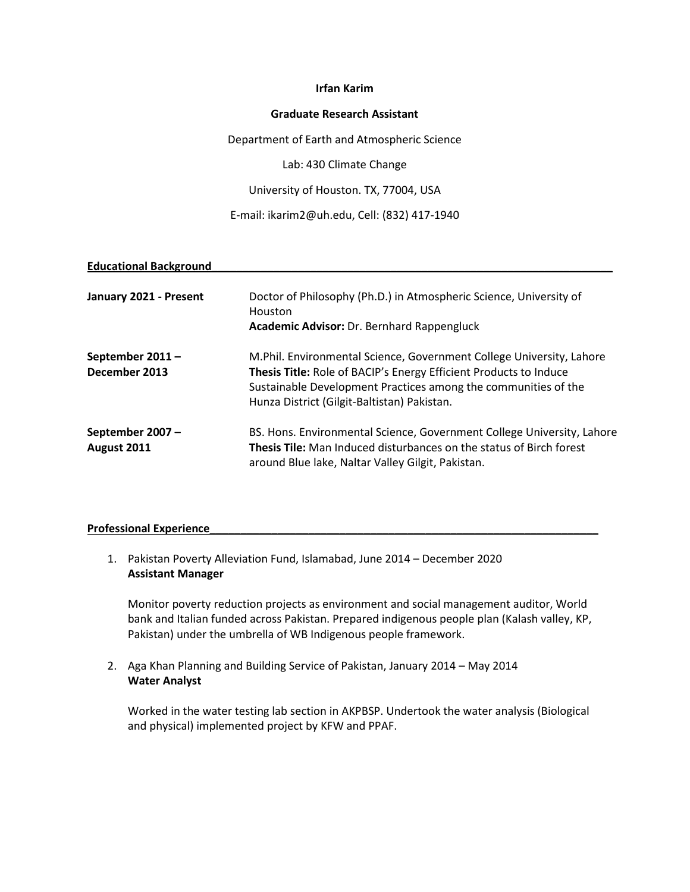# **Irfan Karim**

## **Graduate Research Assistant**

Department of Earth and Atmospheric Science

Lab: 430 Climate Change

University of Houston. TX, 77004, USA

E-mail: ikarim2@uh.edu, Cell: (832) 417-1940

### **Educational Background\_\_\_\_\_\_\_\_\_\_\_\_\_\_\_\_\_\_\_\_\_\_\_\_\_\_\_\_\_\_\_\_\_\_\_\_\_\_\_\_\_\_\_\_\_\_\_\_\_\_\_\_\_\_\_\_\_\_\_\_\_\_\_\_\_**

| January 2021 - Present           | Doctor of Philosophy (Ph.D.) in Atmospheric Science, University of<br>Houston<br>Academic Advisor: Dr. Bernhard Rappengluck                                                                                                                                |
|----------------------------------|------------------------------------------------------------------------------------------------------------------------------------------------------------------------------------------------------------------------------------------------------------|
| September 2011-<br>December 2013 | M.Phil. Environmental Science, Government College University, Lahore<br>Thesis Title: Role of BACIP's Energy Efficient Products to Induce<br>Sustainable Development Practices among the communities of the<br>Hunza District (Gilgit-Baltistan) Pakistan. |
| September 2007 -<br>August 2011  | BS. Hons. Environmental Science, Government College University, Lahore<br><b>Thesis Tile:</b> Man Induced disturbances on the status of Birch forest<br>around Blue lake, Naltar Valley Gilgit, Pakistan.                                                  |

### **Professional Experience\_\_\_\_\_\_\_\_\_\_\_\_\_\_\_\_\_\_\_\_\_\_\_\_\_\_\_\_\_\_\_\_\_\_\_\_\_\_\_\_\_\_\_\_\_\_\_\_\_\_\_\_\_\_\_\_\_\_\_\_\_\_\_**

1. Pakistan Poverty Alleviation Fund, Islamabad, June 2014 – December 2020 **Assistant Manager** 

Monitor poverty reduction projects as environment and social management auditor, World bank and Italian funded across Pakistan. Prepared indigenous people plan (Kalash valley, KP, Pakistan) under the umbrella of WB Indigenous people framework.

2. Aga Khan Planning and Building Service of Pakistan, January 2014 – May 2014 **Water Analyst** 

Worked in the water testing lab section in AKPBSP. Undertook the water analysis (Biological and physical) implemented project by KFW and PPAF.